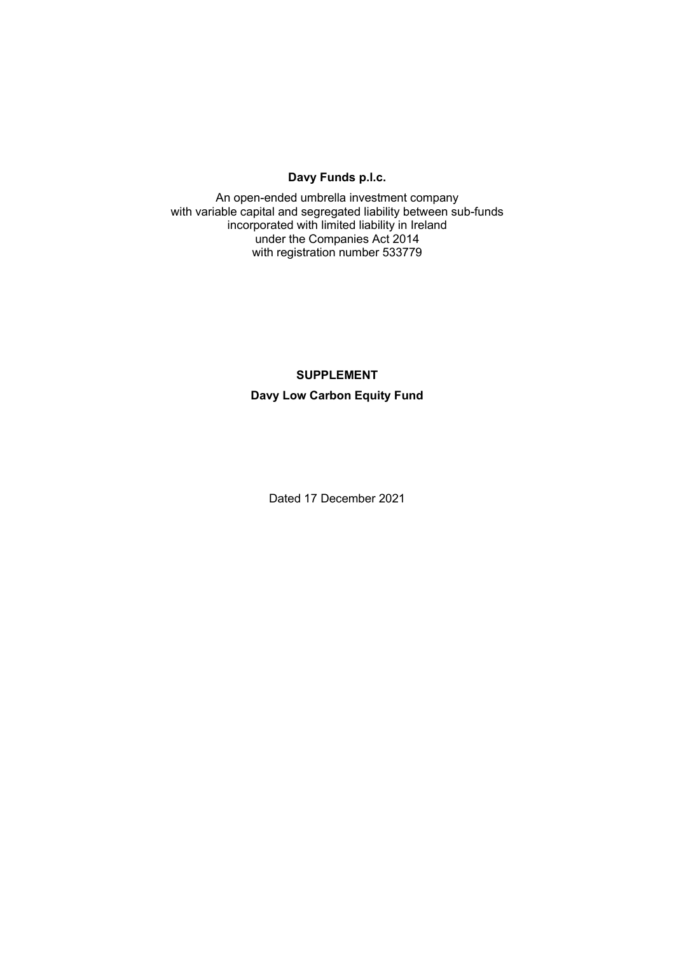# **Davy Funds p.l.c.**

An open-ended umbrella investment company with variable capital and segregated liability between sub-funds incorporated with limited liability in Ireland under the Companies Act 2014 with registration number 533779

# **SUPPLEMENT Davy Low Carbon Equity Fund**

Dated 17 December 2021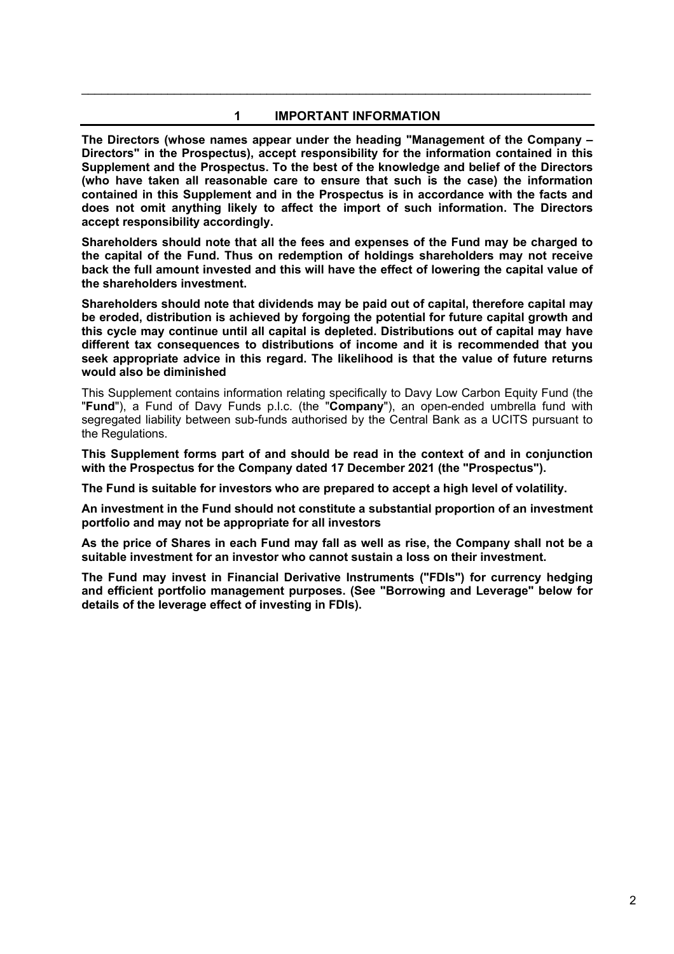# **1 IMPORTANT INFORMATION**

\_\_\_\_\_\_\_\_\_\_\_\_\_\_\_\_\_\_\_\_\_\_\_\_\_\_\_\_\_\_\_\_\_\_\_\_\_\_\_\_\_\_\_\_\_\_\_\_\_\_\_\_\_\_\_\_\_\_\_\_\_\_\_\_\_\_\_\_\_\_\_\_\_\_\_\_\_

**The Directors (whose names appear under the heading "Management of the Company – Directors" in the Prospectus), accept responsibility for the information contained in this Supplement and the Prospectus. To the best of the knowledge and belief of the Directors (who have taken all reasonable care to ensure that such is the case) the information contained in this Supplement and in the Prospectus is in accordance with the facts and does not omit anything likely to affect the import of such information. The Directors accept responsibility accordingly.** 

**Shareholders should note that all the fees and expenses of the Fund may be charged to the capital of the Fund. Thus on redemption of holdings shareholders may not receive back the full amount invested and this will have the effect of lowering the capital value of the shareholders investment.** 

**Shareholders should note that dividends may be paid out of capital, therefore capital may be eroded, distribution is achieved by forgoing the potential for future capital growth and this cycle may continue until all capital is depleted. Distributions out of capital may have different tax consequences to distributions of income and it is recommended that you seek appropriate advice in this regard. The likelihood is that the value of future returns would also be diminished** 

This Supplement contains information relating specifically to Davy Low Carbon Equity Fund (the "**Fund**"), a Fund of Davy Funds p.l.c. (the "**Company**"), an open-ended umbrella fund with segregated liability between sub-funds authorised by the Central Bank as a UCITS pursuant to the Regulations.

**This Supplement forms part of and should be read in the context of and in conjunction with the Prospectus for the Company dated 17 December 2021 (the "Prospectus").** 

**The Fund is suitable for investors who are prepared to accept a high level of volatility.** 

**An investment in the Fund should not constitute a substantial proportion of an investment portfolio and may not be appropriate for all investors** 

**As the price of Shares in each Fund may fall as well as rise, the Company shall not be a suitable investment for an investor who cannot sustain a loss on their investment.** 

**The Fund may invest in Financial Derivative Instruments ("FDIs") for currency hedging and efficient portfolio management purposes. (See "Borrowing and Leverage" below for details of the leverage effect of investing in FDIs).**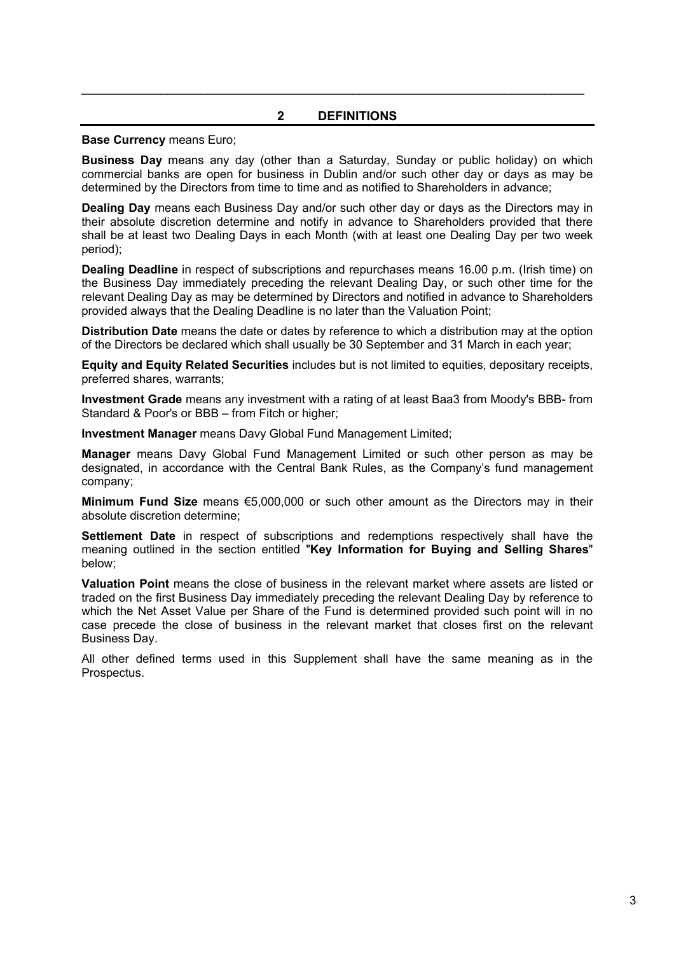# **2 DEFINITIONS**

 $\mathcal{L}_\mathcal{L} = \mathcal{L}_\mathcal{L} = \mathcal{L}_\mathcal{L} = \mathcal{L}_\mathcal{L} = \mathcal{L}_\mathcal{L} = \mathcal{L}_\mathcal{L} = \mathcal{L}_\mathcal{L} = \mathcal{L}_\mathcal{L} = \mathcal{L}_\mathcal{L} = \mathcal{L}_\mathcal{L} = \mathcal{L}_\mathcal{L} = \mathcal{L}_\mathcal{L} = \mathcal{L}_\mathcal{L} = \mathcal{L}_\mathcal{L} = \mathcal{L}_\mathcal{L} = \mathcal{L}_\mathcal{L} = \mathcal{L}_\mathcal{L}$ 

#### **Base Currency** means Euro;

**Business Day** means any day (other than a Saturday, Sunday or public holiday) on which commercial banks are open for business in Dublin and/or such other day or days as may be determined by the Directors from time to time and as notified to Shareholders in advance;

**Dealing Day** means each Business Day and/or such other day or days as the Directors may in their absolute discretion determine and notify in advance to Shareholders provided that there shall be at least two Dealing Days in each Month (with at least one Dealing Day per two week period);

**Dealing Deadline** in respect of subscriptions and repurchases means 16.00 p.m. (Irish time) on the Business Day immediately preceding the relevant Dealing Day, or such other time for the relevant Dealing Day as may be determined by Directors and notified in advance to Shareholders provided always that the Dealing Deadline is no later than the Valuation Point;

**Distribution Date** means the date or dates by reference to which a distribution may at the option of the Directors be declared which shall usually be 30 September and 31 March in each year;

**Equity and Equity Related Securities** includes but is not limited to equities, depositary receipts, preferred shares, warrants;

**Investment Grade** means any investment with a rating of at least Baa3 from Moody's BBB- from Standard & Poor's or BBB – from Fitch or higher;

**Investment Manager** means Davy Global Fund Management Limited;

**Manager** means Davy Global Fund Management Limited or such other person as may be designated, in accordance with the Central Bank Rules, as the Company's fund management company;

**Minimum Fund Size** means €5,000,000 or such other amount as the Directors may in their absolute discretion determine;

**Settlement Date** in respect of subscriptions and redemptions respectively shall have the meaning outlined in the section entitled "**Key Information for Buying and Selling Shares**" below;

**Valuation Point** means the close of business in the relevant market where assets are listed or traded on the first Business Day immediately preceding the relevant Dealing Day by reference to which the Net Asset Value per Share of the Fund is determined provided such point will in no case precede the close of business in the relevant market that closes first on the relevant Business Day.

All other defined terms used in this Supplement shall have the same meaning as in the Prospectus.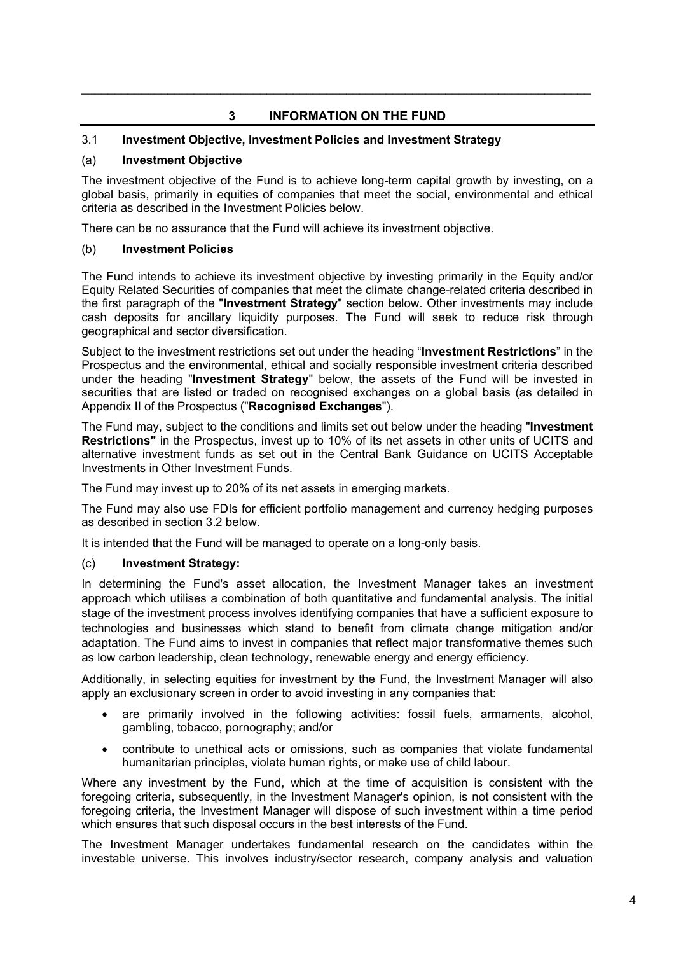# **3 INFORMATION ON THE FUND**

\_\_\_\_\_\_\_\_\_\_\_\_\_\_\_\_\_\_\_\_\_\_\_\_\_\_\_\_\_\_\_\_\_\_\_\_\_\_\_\_\_\_\_\_\_\_\_\_\_\_\_\_\_\_\_\_\_\_\_\_\_\_\_\_\_\_\_\_\_\_\_\_\_\_\_\_\_

# 3.1 **Investment Objective, Investment Policies and Investment Strategy**

# (a) **Investment Objective**

The investment objective of the Fund is to achieve long-term capital growth by investing, on a global basis, primarily in equities of companies that meet the social, environmental and ethical criteria as described in the Investment Policies below.

There can be no assurance that the Fund will achieve its investment objective.

## (b) **Investment Policies**

The Fund intends to achieve its investment objective by investing primarily in the Equity and/or Equity Related Securities of companies that meet the climate change-related criteria described in the first paragraph of the "**Investment Strategy**" section below. Other investments may include cash deposits for ancillary liquidity purposes. The Fund will seek to reduce risk through geographical and sector diversification.

Subject to the investment restrictions set out under the heading "**Investment Restrictions**" in the Prospectus and the environmental, ethical and socially responsible investment criteria described under the heading "**Investment Strategy**" below, the assets of the Fund will be invested in securities that are listed or traded on recognised exchanges on a global basis (as detailed in Appendix II of the Prospectus ("**Recognised Exchanges**").

The Fund may, subject to the conditions and limits set out below under the heading "**Investment Restrictions"** in the Prospectus, invest up to 10% of its net assets in other units of UCITS and alternative investment funds as set out in the Central Bank Guidance on UCITS Acceptable Investments in Other Investment Funds.

The Fund may invest up to 20% of its net assets in emerging markets.

The Fund may also use FDIs for efficient portfolio management and currency hedging purposes as described in section 3.2 below.

It is intended that the Fund will be managed to operate on a long-only basis.

# (c) **Investment Strategy:**

In determining the Fund's asset allocation, the Investment Manager takes an investment approach which utilises a combination of both quantitative and fundamental analysis. The initial stage of the investment process involves identifying companies that have a sufficient exposure to technologies and businesses which stand to benefit from climate change mitigation and/or adaptation. The Fund aims to invest in companies that reflect major transformative themes such as low carbon leadership, clean technology, renewable energy and energy efficiency.

Additionally, in selecting equities for investment by the Fund, the Investment Manager will also apply an exclusionary screen in order to avoid investing in any companies that:

- are primarily involved in the following activities: fossil fuels, armaments, alcohol, gambling, tobacco, pornography; and/or
- contribute to unethical acts or omissions, such as companies that violate fundamental humanitarian principles, violate human rights, or make use of child labour.

Where any investment by the Fund, which at the time of acquisition is consistent with the foregoing criteria, subsequently, in the Investment Manager's opinion, is not consistent with the foregoing criteria, the Investment Manager will dispose of such investment within a time period which ensures that such disposal occurs in the best interests of the Fund.

The Investment Manager undertakes fundamental research on the candidates within the investable universe. This involves industry/sector research, company analysis and valuation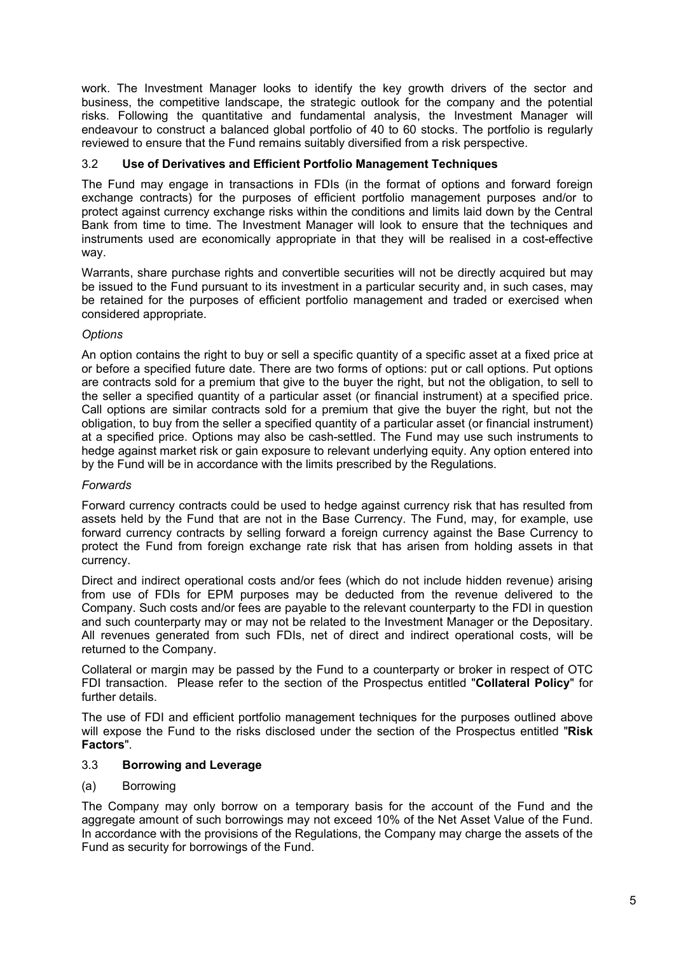work. The Investment Manager looks to identify the key growth drivers of the sector and business, the competitive landscape, the strategic outlook for the company and the potential risks. Following the quantitative and fundamental analysis, the Investment Manager will endeavour to construct a balanced global portfolio of 40 to 60 stocks. The portfolio is regularly reviewed to ensure that the Fund remains suitably diversified from a risk perspective.

# 3.2 **Use of Derivatives and Efficient Portfolio Management Techniques**

The Fund may engage in transactions in FDIs (in the format of options and forward foreign exchange contracts) for the purposes of efficient portfolio management purposes and/or to protect against currency exchange risks within the conditions and limits laid down by the Central Bank from time to time. The Investment Manager will look to ensure that the techniques and instruments used are economically appropriate in that they will be realised in a cost-effective way.

Warrants, share purchase rights and convertible securities will not be directly acquired but may be issued to the Fund pursuant to its investment in a particular security and, in such cases, may be retained for the purposes of efficient portfolio management and traded or exercised when considered appropriate.

# *Options*

An option contains the right to buy or sell a specific quantity of a specific asset at a fixed price at or before a specified future date. There are two forms of options: put or call options. Put options are contracts sold for a premium that give to the buyer the right, but not the obligation, to sell to the seller a specified quantity of a particular asset (or financial instrument) at a specified price. Call options are similar contracts sold for a premium that give the buyer the right, but not the obligation, to buy from the seller a specified quantity of a particular asset (or financial instrument) at a specified price. Options may also be cash-settled. The Fund may use such instruments to hedge against market risk or gain exposure to relevant underlying equity. Any option entered into by the Fund will be in accordance with the limits prescribed by the Regulations.

# *Forwards*

Forward currency contracts could be used to hedge against currency risk that has resulted from assets held by the Fund that are not in the Base Currency. The Fund, may, for example, use forward currency contracts by selling forward a foreign currency against the Base Currency to protect the Fund from foreign exchange rate risk that has arisen from holding assets in that currency.

Direct and indirect operational costs and/or fees (which do not include hidden revenue) arising from use of FDIs for EPM purposes may be deducted from the revenue delivered to the Company. Such costs and/or fees are payable to the relevant counterparty to the FDI in question and such counterparty may or may not be related to the Investment Manager or the Depositary. All revenues generated from such FDIs, net of direct and indirect operational costs, will be returned to the Company.

Collateral or margin may be passed by the Fund to a counterparty or broker in respect of OTC FDI transaction. Please refer to the section of the Prospectus entitled "**Collateral Policy**" for further details.

The use of FDI and efficient portfolio management techniques for the purposes outlined above will expose the Fund to the risks disclosed under the section of the Prospectus entitled "**Risk Factors**".

# 3.3 **Borrowing and Leverage**

# (a) Borrowing

The Company may only borrow on a temporary basis for the account of the Fund and the aggregate amount of such borrowings may not exceed 10% of the Net Asset Value of the Fund. In accordance with the provisions of the Regulations, the Company may charge the assets of the Fund as security for borrowings of the Fund.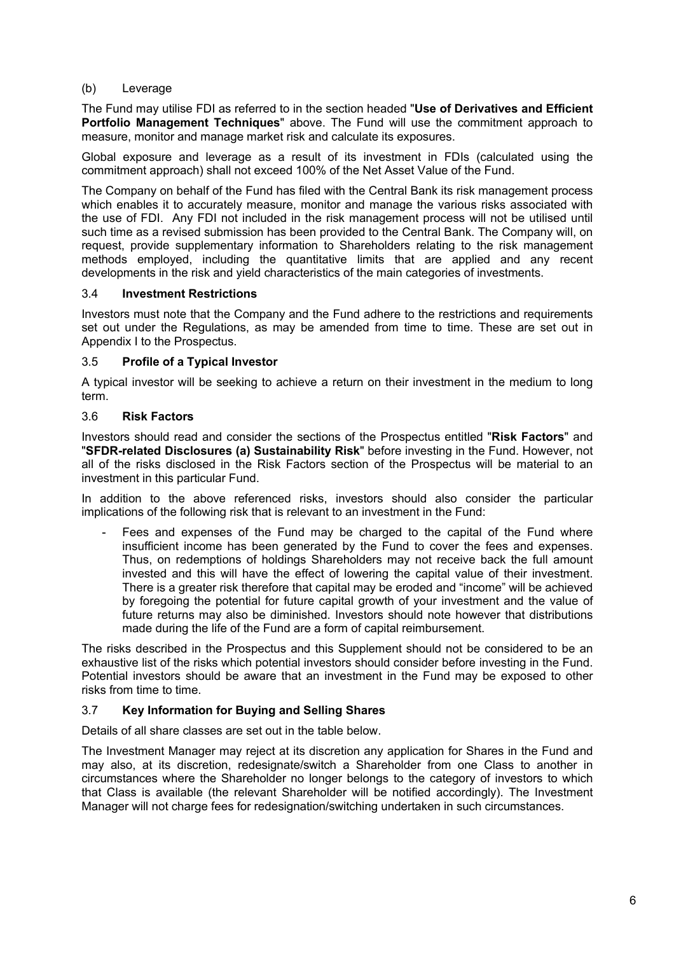# (b) Leverage

The Fund may utilise FDI as referred to in the section headed "**Use of Derivatives and Efficient Portfolio Management Techniques**" above. The Fund will use the commitment approach to measure, monitor and manage market risk and calculate its exposures.

Global exposure and leverage as a result of its investment in FDIs (calculated using the commitment approach) shall not exceed 100% of the Net Asset Value of the Fund.

The Company on behalf of the Fund has filed with the Central Bank its risk management process which enables it to accurately measure, monitor and manage the various risks associated with the use of FDI. Any FDI not included in the risk management process will not be utilised until such time as a revised submission has been provided to the Central Bank. The Company will, on request, provide supplementary information to Shareholders relating to the risk management methods employed, including the quantitative limits that are applied and any recent developments in the risk and yield characteristics of the main categories of investments.

#### 3.4 **Investment Restrictions**

Investors must note that the Company and the Fund adhere to the restrictions and requirements set out under the Regulations, as may be amended from time to time. These are set out in Appendix I to the Prospectus.

## 3.5 **Profile of a Typical Investor**

A typical investor will be seeking to achieve a return on their investment in the medium to long term.

## 3.6 **Risk Factors**

Investors should read and consider the sections of the Prospectus entitled "**Risk Factors**" and "**SFDR-related Disclosures (a) Sustainability Risk**" before investing in the Fund. However, not all of the risks disclosed in the Risk Factors section of the Prospectus will be material to an investment in this particular Fund.

In addition to the above referenced risks, investors should also consider the particular implications of the following risk that is relevant to an investment in the Fund:

Fees and expenses of the Fund may be charged to the capital of the Fund where insufficient income has been generated by the Fund to cover the fees and expenses. Thus, on redemptions of holdings Shareholders may not receive back the full amount invested and this will have the effect of lowering the capital value of their investment. There is a greater risk therefore that capital may be eroded and "income" will be achieved by foregoing the potential for future capital growth of your investment and the value of future returns may also be diminished. Investors should note however that distributions made during the life of the Fund are a form of capital reimbursement.

The risks described in the Prospectus and this Supplement should not be considered to be an exhaustive list of the risks which potential investors should consider before investing in the Fund. Potential investors should be aware that an investment in the Fund may be exposed to other risks from time to time.

#### 3.7 **Key Information for Buying and Selling Shares**

Details of all share classes are set out in the table below.

The Investment Manager may reject at its discretion any application for Shares in the Fund and may also, at its discretion, redesignate/switch a Shareholder from one Class to another in circumstances where the Shareholder no longer belongs to the category of investors to which that Class is available (the relevant Shareholder will be notified accordingly). The Investment Manager will not charge fees for redesignation/switching undertaken in such circumstances.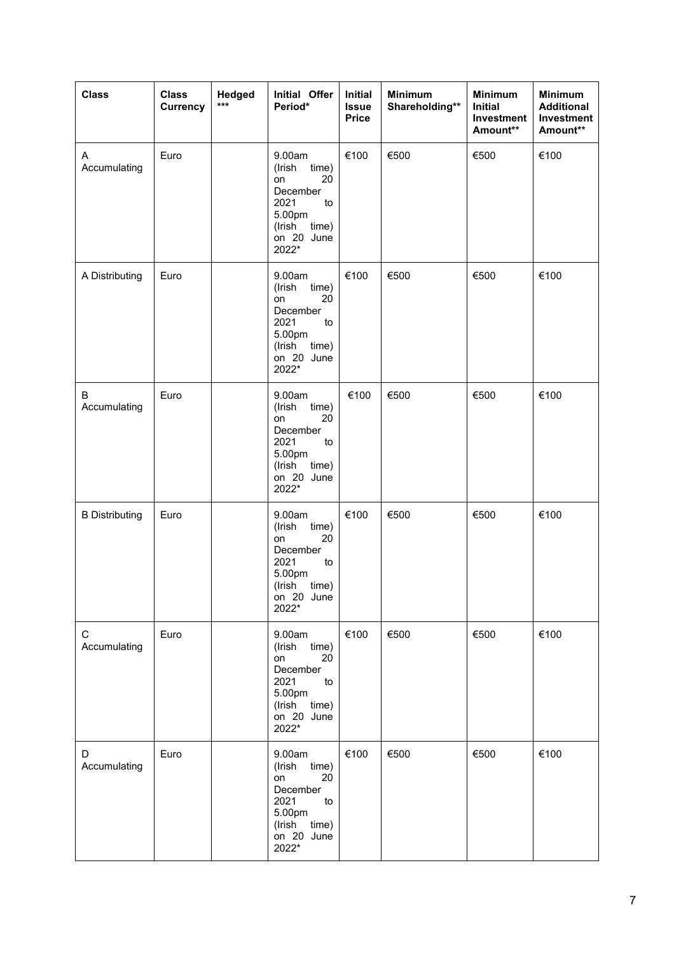| <b>Class</b>          | <b>Class</b><br>Currency | Hedged<br>$***$ | Initial Offer<br>Period*                                                                                                | <b>Initial</b><br><b>Issue</b><br><b>Price</b> | <b>Minimum</b><br>Shareholding** | <b>Minimum</b><br><b>Initial</b><br>Investment<br>Amount** | <b>Minimum</b><br><b>Additional</b><br>Investment<br>Amount** |
|-----------------------|--------------------------|-----------------|-------------------------------------------------------------------------------------------------------------------------|------------------------------------------------|----------------------------------|------------------------------------------------------------|---------------------------------------------------------------|
| A<br>Accumulating     | Euro                     |                 | 9.00am<br>(Irish<br>time)<br>20<br>on<br>December<br>2021<br>to<br>5.00pm<br>(Irish<br>time)<br>on 20 June<br>2022*     | €100                                           | €500                             | €500                                                       | €100                                                          |
| A Distributing        | Euro                     |                 | 9.00am<br>(Irish<br>time)<br>20<br>on<br>December<br>2021<br>to<br>5.00pm<br>(Irish<br>time)<br>on 20 June<br>2022*     | €100                                           | €500                             | €500                                                       | €100                                                          |
| B<br>Accumulating     | Euro                     |                 | 9.00am<br>(Irish<br>time)<br>$20\,$<br>on<br>December<br>2021<br>to<br>5.00pm<br>(Irish<br>time)<br>on 20 June<br>2022* | €100                                           | €500                             | €500                                                       | €100                                                          |
| <b>B</b> Distributing | Euro                     |                 | 9.00am<br>(Irish<br>time)<br>20<br>on<br>December<br>2021<br>to<br>5.00pm<br>(Irish<br>time)<br>on 20 June<br>2022*     | €100                                           | €500                             | €500                                                       | €100                                                          |
| C<br>Accumulating     | Euro                     |                 | 9.00am<br>time)<br>(Irish<br>20<br>on<br>December<br>2021<br>to<br>5.00pm<br>(Irish time)<br>on 20 June<br>2022*        | €100                                           | €500                             | €500                                                       | €100                                                          |
| D<br>Accumulating     | Euro                     |                 | 9.00am<br>(Irish time)<br>20<br>on<br>December<br>2021<br>to<br>5.00pm<br>(Irish time)<br>on 20 June<br>2022*           | €100                                           | €500                             | €500                                                       | €100                                                          |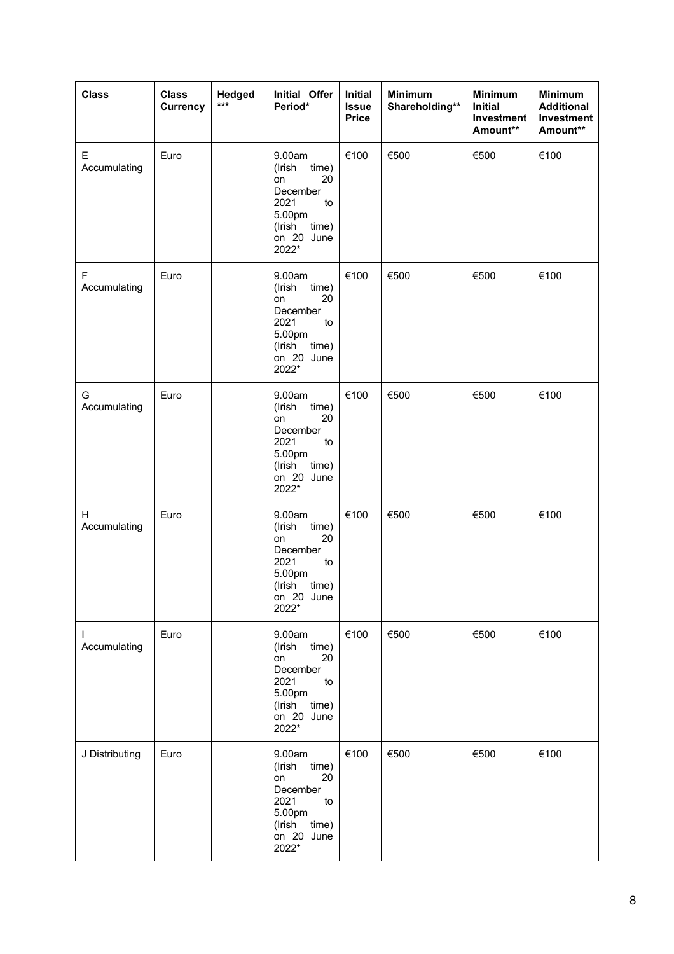| <b>Class</b>       | <b>Class</b><br>Currency | Hedged<br>$***$ | Initial Offer<br>Period*                                                                                            | Initial<br><b>Issue</b><br><b>Price</b> | <b>Minimum</b><br>Shareholding** | <b>Minimum</b><br><b>Initial</b><br>Investment<br>Amount** | <b>Minimum</b><br><b>Additional</b><br>Investment<br>Amount** |
|--------------------|--------------------------|-----------------|---------------------------------------------------------------------------------------------------------------------|-----------------------------------------|----------------------------------|------------------------------------------------------------|---------------------------------------------------------------|
| E<br>Accumulating  | Euro                     |                 | 9.00am<br>(Irish<br>time)<br>20<br>on<br>December<br>2021<br>to<br>5.00pm<br>(Irish<br>time)<br>on 20 June<br>2022* | €100                                    | €500                             | €500                                                       | €100                                                          |
| F<br>Accumulating  | Euro                     |                 | 9.00am<br>(Irish<br>time)<br>20<br>on<br>December<br>2021<br>to<br>5.00pm<br>(Irish<br>time)<br>on 20 June<br>2022* | €100                                    | €500                             | €500                                                       | €100                                                          |
| G<br>Accumulating  | Euro                     |                 | 9.00am<br>(Irish<br>time)<br>20<br>on<br>December<br>2021<br>to<br>5.00pm<br>(Irish<br>time)<br>on 20 June<br>2022* | €100                                    | €500                             | €500                                                       | €100                                                          |
| H<br>Accumulating  | Euro                     |                 | 9.00am<br>(Irish<br>time)<br>20<br>on<br>December<br>2021<br>to<br>5.00pm<br>(Irish<br>time)<br>on 20 June<br>2022* | €100                                    | €500                             | €500                                                       | €100                                                          |
| I.<br>Accumulating | Euro                     |                 | 9.00am<br>time)<br>(Irish<br>20<br>on<br>December<br>2021<br>to<br>5.00pm<br>time)<br>(Irish<br>on 20 June<br>2022* | €100                                    | €500                             | €500                                                       | €100                                                          |
| J Distributing     | Euro                     |                 | 9.00am<br>(Irish time)<br>20<br>on<br>December<br>2021<br>to<br>5.00pm<br>(Irish time)<br>on 20 June<br>2022*       | €100                                    | €500                             | €500                                                       | €100                                                          |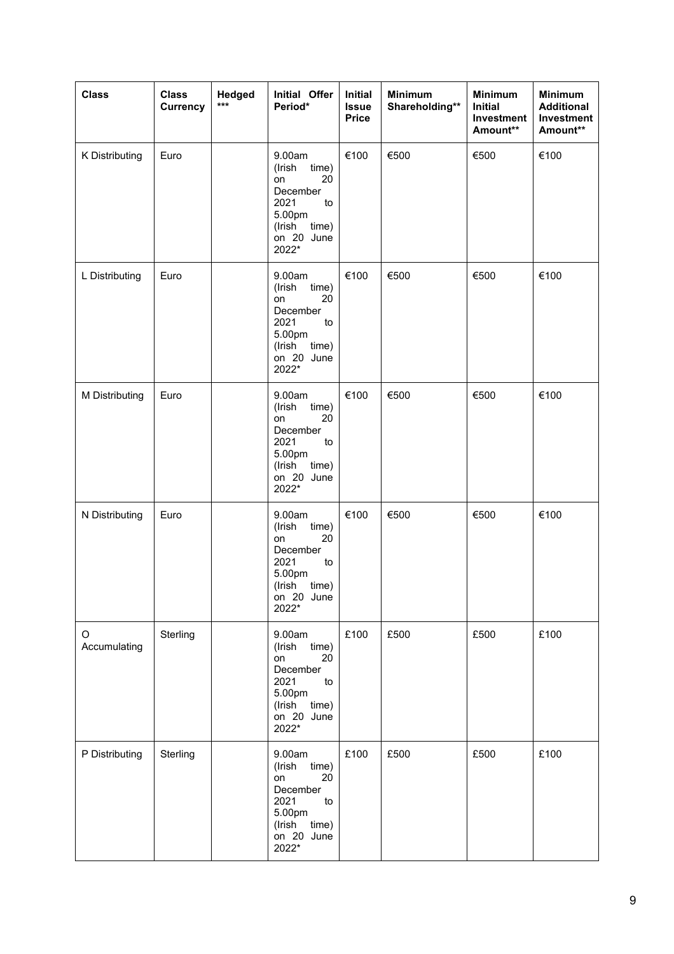| <b>Class</b>      | <b>Class</b><br><b>Currency</b> | Hedged<br>$***$ | Initial Offer<br>Period*                                                                                            | <b>Initial</b><br><b>Issue</b><br><b>Price</b> | <b>Minimum</b><br>Shareholding** | <b>Minimum</b><br>Initial<br>Investment<br>Amount** | <b>Minimum</b><br><b>Additional</b><br>Investment<br>Amount** |
|-------------------|---------------------------------|-----------------|---------------------------------------------------------------------------------------------------------------------|------------------------------------------------|----------------------------------|-----------------------------------------------------|---------------------------------------------------------------|
| K Distributing    | Euro                            |                 | 9.00am<br>(Irish<br>time)<br>20<br>on<br>December<br>2021<br>to<br>5.00pm<br>(Irish<br>time)<br>on 20 June<br>2022* | €100                                           | €500                             | €500                                                | €100                                                          |
| L Distributing    | Euro                            |                 | 9.00am<br>(Irish<br>time)<br>20<br>on<br>December<br>2021<br>to<br>5.00pm<br>(Irish<br>time)<br>on 20 June<br>2022* | €100                                           | €500                             | €500                                                | €100                                                          |
| M Distributing    | Euro                            |                 | 9.00am<br>(Irish<br>time)<br>20<br>on<br>December<br>2021<br>to<br>5.00pm<br>(Irish<br>time)<br>on 20 June<br>2022* | €100                                           | €500                             | €500                                                | €100                                                          |
| N Distributing    | Euro                            |                 | 9.00am<br>(Irish<br>time)<br>20<br>on<br>December<br>2021<br>to<br>5.00pm<br>(Irish<br>time)<br>on 20 June<br>2022* | €100                                           | €500                             | €500                                                | €100                                                          |
| O<br>Accumulating | Sterling                        |                 | 9.00am<br>(Irish<br>time)<br>20<br>on<br>December<br>2021<br>to<br>5.00pm<br>(Irish<br>time)<br>on 20 June<br>2022* | £100                                           | £500                             | £500                                                | £100                                                          |
| P Distributing    | Sterling                        |                 | 9.00am<br>(Irish<br>time)<br>on<br>20<br>December<br>2021<br>to<br>5.00pm<br>(Irish<br>time)<br>on 20 June<br>2022* | £100                                           | £500                             | £500                                                | £100                                                          |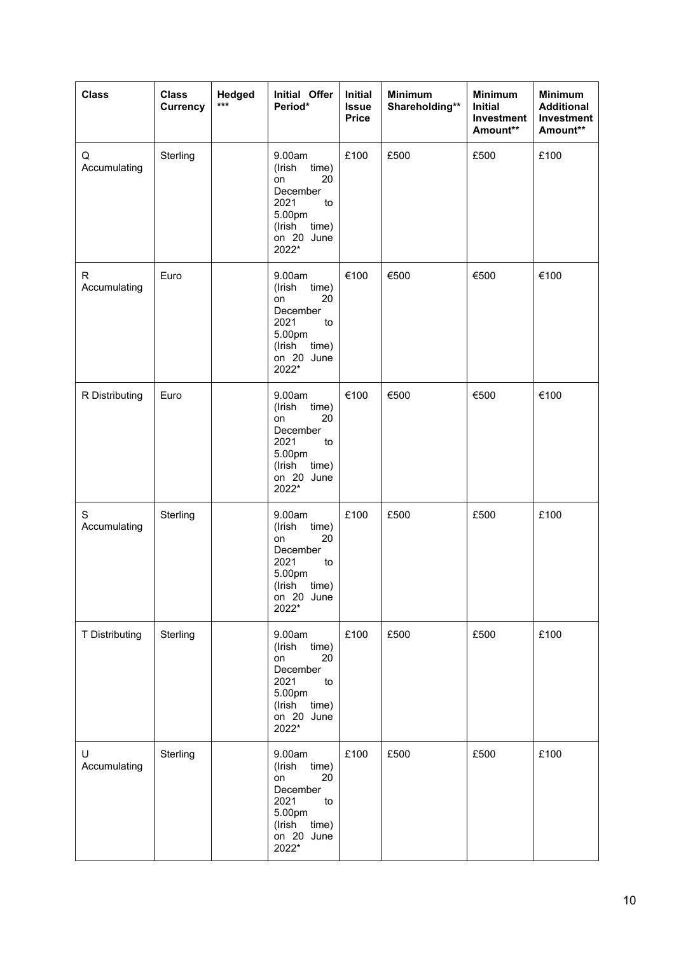| <b>Class</b>      | <b>Class</b><br><b>Currency</b> | Hedged<br>*** | Initial Offer<br>Period*                                                                                                                | <b>Initial</b><br><b>Issue</b><br><b>Price</b> | <b>Minimum</b><br>Shareholding** | <b>Minimum</b><br><b>Initial</b><br>Investment<br>Amount** | <b>Minimum</b><br><b>Additional</b><br>Investment<br>Amount** |
|-------------------|---------------------------------|---------------|-----------------------------------------------------------------------------------------------------------------------------------------|------------------------------------------------|----------------------------------|------------------------------------------------------------|---------------------------------------------------------------|
| Q<br>Accumulating | Sterling                        |               | 9.00am<br>(Irish<br>time)<br>20<br>on<br>December<br>2021<br>to<br>5.00pm<br>(Irish<br>time)<br>on 20 June<br>2022*                     | £100                                           | £500                             | £500                                                       | £100                                                          |
| R<br>Accumulating | Euro                            |               | 9.00am<br>(Irish<br>time)<br>20<br>on<br>December<br>2021<br>to<br>5.00pm<br>(Irish<br>time)<br>on 20 June<br>2022*                     | €100                                           | €500                             | €500                                                       | €100                                                          |
| R Distributing    | Euro                            |               | 9.00am<br>(Irish<br>time)<br>20<br>on<br>December<br>2021<br>to<br>5.00pm<br>(Irish<br>time)<br>on 20 June<br>2022*                     | €100                                           | €500                             | €500                                                       | €100                                                          |
| S<br>Accumulating | Sterling                        |               | 9.00am<br>(Irish<br>time)<br>20<br>on<br>December<br>2021<br>to<br>5.00pm<br>(Irish<br>time)<br>on 20 June<br>2022*                     | £100                                           | £500                             | £500                                                       | £100                                                          |
| T Distributing    | Sterling                        |               | 9.00am<br>(Irish<br>time)<br>20<br>on<br>December<br>2021<br>$\mathop{\mathrm{to}}$<br>5.00pm<br>time)<br>(Irish<br>on 20 June<br>2022* | £100                                           | £500                             | £500                                                       | £100                                                          |
| U<br>Accumulating | Sterling                        |               | 9.00am<br>(Irish<br>time)<br>20<br>on<br>December<br>2021<br>to<br>5.00pm<br>(Irish<br>time)<br>on 20 June<br>2022*                     | £100                                           | £500                             | £500                                                       | £100                                                          |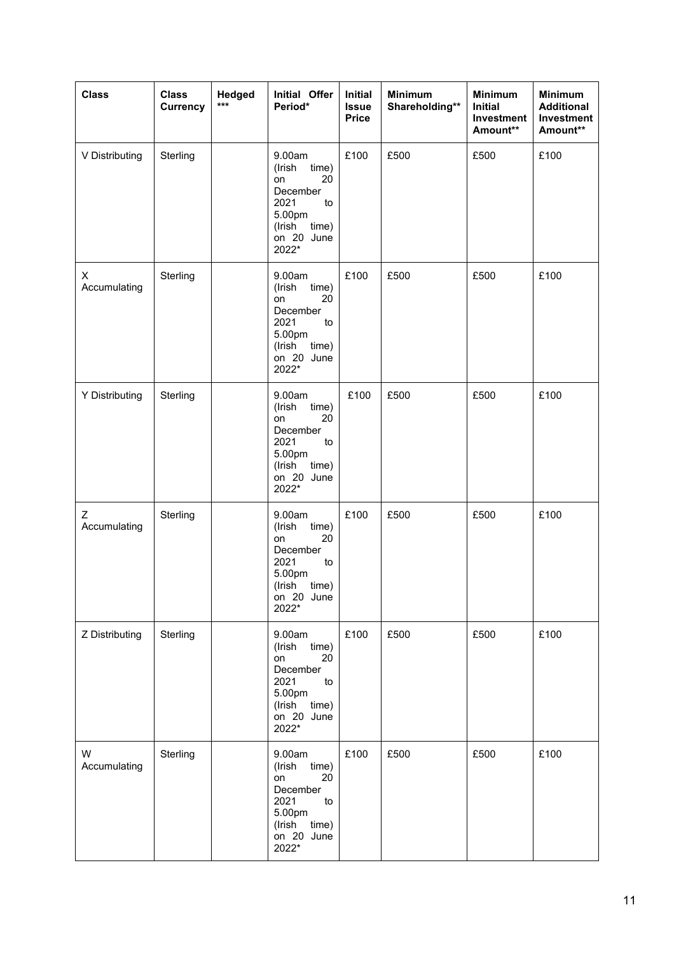| <b>Class</b>      | <b>Class</b><br>Currency | Hedged<br>$***$ | Initial Offer<br>Period*                                                                                            | <b>Initial</b><br><b>Issue</b><br><b>Price</b> | <b>Minimum</b><br>Shareholding** | <b>Minimum</b><br><b>Initial</b><br>Investment<br>Amount** | <b>Minimum</b><br><b>Additional</b><br>Investment<br>Amount** |
|-------------------|--------------------------|-----------------|---------------------------------------------------------------------------------------------------------------------|------------------------------------------------|----------------------------------|------------------------------------------------------------|---------------------------------------------------------------|
| V Distributing    | Sterling                 |                 | 9.00am<br>(Irish<br>time)<br>20<br>on<br>December<br>2021<br>to<br>5.00pm<br>(Irish<br>time)<br>on 20 June<br>2022* | £100                                           | £500                             | £500                                                       | £100                                                          |
| X<br>Accumulating | Sterling                 |                 | 9.00am<br>(Irish<br>time)<br>20<br>on<br>December<br>2021<br>to<br>5.00pm<br>(Irish<br>time)<br>on 20 June<br>2022* | £100                                           | £500                             | £500                                                       | £100                                                          |
| Y Distributing    | Sterling                 |                 | 9.00am<br>(Irish<br>time)<br>20<br>on<br>December<br>2021<br>to<br>5.00pm<br>(Irish<br>time)<br>on 20 June<br>2022* | £100                                           | £500                             | £500                                                       | £100                                                          |
| Ζ<br>Accumulating | Sterling                 |                 | 9.00am<br>(Irish<br>time)<br>20<br>on<br>December<br>2021<br>to<br>5.00pm<br>(Irish<br>time)<br>on 20 June<br>2022* | £100                                           | £500                             | £500                                                       | £100                                                          |
| Z Distributing    | Sterling                 |                 | 9.00am<br>(Irish<br>time)<br>20<br>on<br>December<br>2021<br>to<br>5.00pm<br>time)<br>(Irish<br>on 20 June<br>2022* | £100                                           | £500                             | £500                                                       | £100                                                          |
| W<br>Accumulating | Sterling                 |                 | 9.00am<br>(Irish<br>time)<br>20<br>on<br>December<br>2021<br>to<br>5.00pm<br>(Irish<br>time)<br>on 20 June<br>2022* | £100                                           | £500                             | £500                                                       | £100                                                          |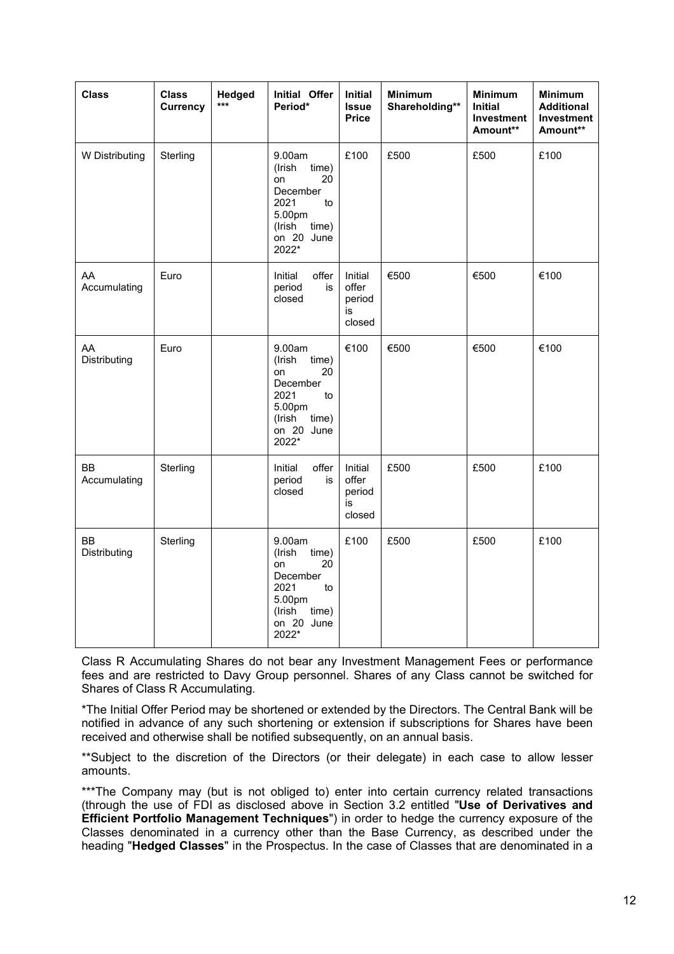| <b>Class</b>              | <b>Class</b><br><b>Currency</b> | Hedged<br>*** | <b>Initial Offer</b><br>Period*                                                                                     | <b>Initial</b><br><b>Issue</b><br><b>Price</b> | <b>Minimum</b><br>Shareholding** | <b>Minimum</b><br><b>Initial</b><br><b>Investment</b><br>Amount** | <b>Minimum</b><br><b>Additional</b><br><b>Investment</b><br>Amount** |
|---------------------------|---------------------------------|---------------|---------------------------------------------------------------------------------------------------------------------|------------------------------------------------|----------------------------------|-------------------------------------------------------------------|----------------------------------------------------------------------|
| W Distributing            | Sterling                        |               | 9.00am<br>(Irish<br>time)<br>20<br>on<br>December<br>2021<br>to<br>5.00pm<br>(Irish<br>time)<br>on 20 June<br>2022* | £100                                           | £500                             | £500                                                              | £100                                                                 |
| AA<br>Accumulating        | Euro                            |               | Initial<br>offer<br>period<br>is<br>closed                                                                          | Initial<br>offer<br>period<br>is<br>closed     | €500                             | €500                                                              | €100                                                                 |
| AA<br>Distributing        | Euro                            |               | 9.00am<br>(Irish<br>time)<br>20<br>on<br>December<br>2021<br>to<br>5.00pm<br>(Irish<br>time)<br>on 20 June<br>2022* | €100                                           | €500                             | €500                                                              | €100                                                                 |
| <b>BB</b><br>Accumulating | Sterling                        |               | offer<br>Initial<br>period<br>is<br>closed                                                                          | Initial<br>offer<br>period<br>is<br>closed     | £500                             | £500                                                              | £100                                                                 |
| <b>BB</b><br>Distributing | Sterling                        |               | 9.00am<br>(Irish<br>time)<br>on<br>20<br>December<br>2021<br>to<br>5.00pm<br>(Irish<br>time)<br>on 20 June<br>2022* | £100                                           | £500                             | £500                                                              | £100                                                                 |

Class R Accumulating Shares do not bear any Investment Management Fees or performance fees and are restricted to Davy Group personnel. Shares of any Class cannot be switched for Shares of Class R Accumulating.

\*The Initial Offer Period may be shortened or extended by the Directors. The Central Bank will be notified in advance of any such shortening or extension if subscriptions for Shares have been received and otherwise shall be notified subsequently, on an annual basis.

\*\*Subject to the discretion of the Directors (or their delegate) in each case to allow lesser amounts.

\*\*\*The Company may (but is not obliged to) enter into certain currency related transactions (through the use of FDI as disclosed above in Section 3.2 entitled "**Use of Derivatives and Efficient Portfolio Management Techniques**") in order to hedge the currency exposure of the Classes denominated in a currency other than the Base Currency, as described under the heading "**Hedged Classes**" in the Prospectus. In the case of Classes that are denominated in a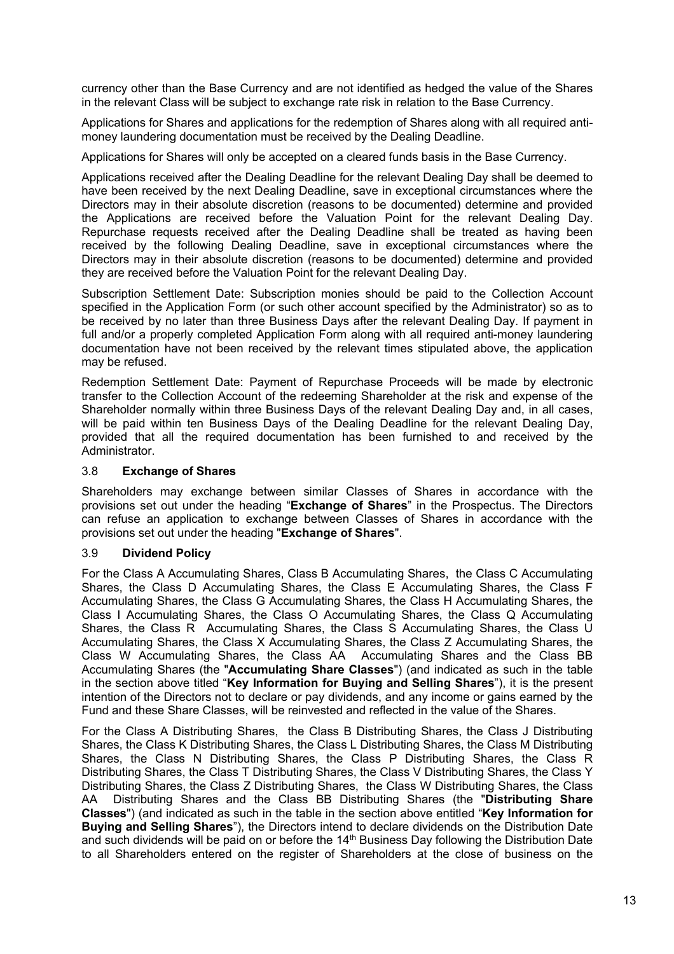currency other than the Base Currency and are not identified as hedged the value of the Shares in the relevant Class will be subject to exchange rate risk in relation to the Base Currency.

Applications for Shares and applications for the redemption of Shares along with all required antimoney laundering documentation must be received by the Dealing Deadline.

Applications for Shares will only be accepted on a cleared funds basis in the Base Currency.

Applications received after the Dealing Deadline for the relevant Dealing Day shall be deemed to have been received by the next Dealing Deadline, save in exceptional circumstances where the Directors may in their absolute discretion (reasons to be documented) determine and provided the Applications are received before the Valuation Point for the relevant Dealing Day. Repurchase requests received after the Dealing Deadline shall be treated as having been received by the following Dealing Deadline, save in exceptional circumstances where the Directors may in their absolute discretion (reasons to be documented) determine and provided they are received before the Valuation Point for the relevant Dealing Day.

Subscription Settlement Date: Subscription monies should be paid to the Collection Account specified in the Application Form (or such other account specified by the Administrator) so as to be received by no later than three Business Days after the relevant Dealing Day. If payment in full and/or a properly completed Application Form along with all required anti-money laundering documentation have not been received by the relevant times stipulated above, the application may be refused.

Redemption Settlement Date: Payment of Repurchase Proceeds will be made by electronic transfer to the Collection Account of the redeeming Shareholder at the risk and expense of the Shareholder normally within three Business Days of the relevant Dealing Day and, in all cases, will be paid within ten Business Days of the Dealing Deadline for the relevant Dealing Day, provided that all the required documentation has been furnished to and received by the Administrator.

## 3.8 **Exchange of Shares**

Shareholders may exchange between similar Classes of Shares in accordance with the provisions set out under the heading "**Exchange of Shares**" in the Prospectus. The Directors can refuse an application to exchange between Classes of Shares in accordance with the provisions set out under the heading "**Exchange of Shares**".

## 3.9 **Dividend Policy**

For the Class A Accumulating Shares, Class B Accumulating Shares, the Class C Accumulating Shares, the Class D Accumulating Shares, the Class E Accumulating Shares, the Class F Accumulating Shares, the Class G Accumulating Shares, the Class H Accumulating Shares, the Class I Accumulating Shares, the Class O Accumulating Shares, the Class Q Accumulating Shares, the Class R Accumulating Shares, the Class S Accumulating Shares, the Class U Accumulating Shares, the Class X Accumulating Shares, the Class Z Accumulating Shares, the Class W Accumulating Shares, the Class AA Accumulating Shares and the Class BB Accumulating Shares (the "**Accumulating Share Classes**") (and indicated as such in the table in the section above titled "**Key Information for Buying and Selling Shares**"), it is the present intention of the Directors not to declare or pay dividends, and any income or gains earned by the Fund and these Share Classes, will be reinvested and reflected in the value of the Shares.

For the Class A Distributing Shares, the Class B Distributing Shares, the Class J Distributing Shares, the Class K Distributing Shares, the Class L Distributing Shares, the Class M Distributing Shares, the Class N Distributing Shares, the Class P Distributing Shares, the Class R Distributing Shares, the Class T Distributing Shares, the Class V Distributing Shares, the Class Y Distributing Shares, the Class Z Distributing Shares, the Class W Distributing Shares, the Class AA Distributing Shares and the Class BB Distributing Shares (the "**Distributing Share Classes**") (and indicated as such in the table in the section above entitled "**Key Information for Buying and Selling Shares**"), the Directors intend to declare dividends on the Distribution Date and such dividends will be paid on or before the 14<sup>th</sup> Business Day following the Distribution Date to all Shareholders entered on the register of Shareholders at the close of business on the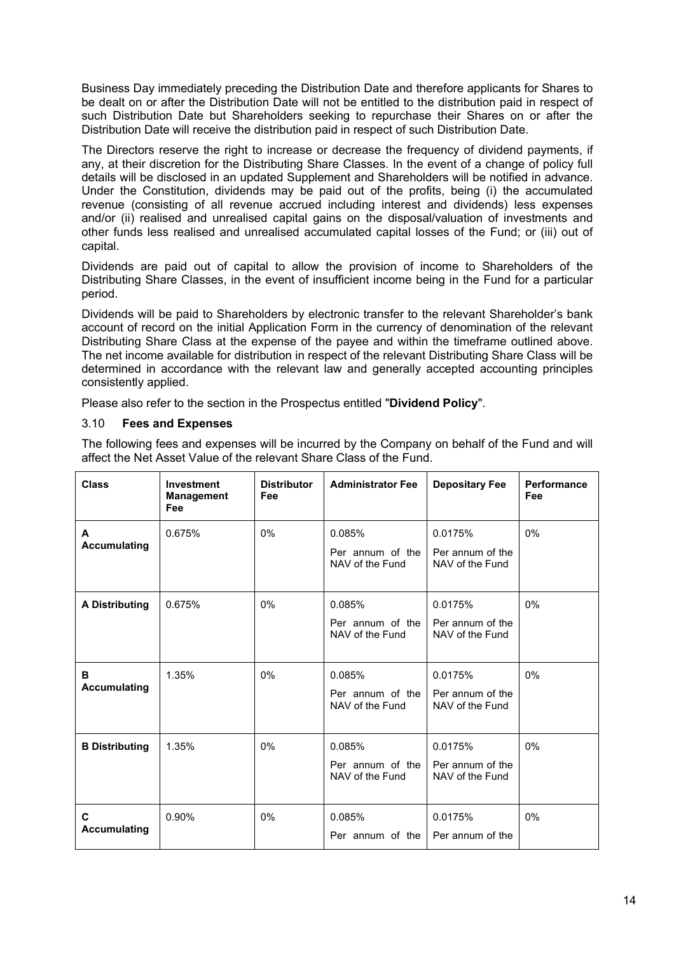Business Day immediately preceding the Distribution Date and therefore applicants for Shares to be dealt on or after the Distribution Date will not be entitled to the distribution paid in respect of such Distribution Date but Shareholders seeking to repurchase their Shares on or after the Distribution Date will receive the distribution paid in respect of such Distribution Date.

The Directors reserve the right to increase or decrease the frequency of dividend payments, if any, at their discretion for the Distributing Share Classes. In the event of a change of policy full details will be disclosed in an updated Supplement and Shareholders will be notified in advance. Under the Constitution, dividends may be paid out of the profits, being (i) the accumulated revenue (consisting of all revenue accrued including interest and dividends) less expenses and/or (ii) realised and unrealised capital gains on the disposal/valuation of investments and other funds less realised and unrealised accumulated capital losses of the Fund; or (iii) out of capital.

Dividends are paid out of capital to allow the provision of income to Shareholders of the Distributing Share Classes, in the event of insufficient income being in the Fund for a particular period.

Dividends will be paid to Shareholders by electronic transfer to the relevant Shareholder's bank account of record on the initial Application Form in the currency of denomination of the relevant Distributing Share Class at the expense of the payee and within the timeframe outlined above. The net income available for distribution in respect of the relevant Distributing Share Class will be determined in accordance with the relevant law and generally accepted accounting principles consistently applied.

Please also refer to the section in the Prospectus entitled "**Dividend Policy**".

# 3.10 **Fees and Expenses**

The following fees and expenses will be incurred by the Company on behalf of the Fund and will affect the Net Asset Value of the relevant Share Class of the Fund.

| <b>Class</b>             | Investment<br><b>Management</b><br>Fee | <b>Distributor</b><br>Fee | <b>Administrator Fee</b>                      | <b>Depositary Fee</b>                          | <b>Performance</b><br>Fee |
|--------------------------|----------------------------------------|---------------------------|-----------------------------------------------|------------------------------------------------|---------------------------|
| A<br><b>Accumulating</b> | 0.675%                                 | 0%                        | 0.085%<br>Per annum of the<br>NAV of the Fund | 0.0175%<br>Per annum of the<br>NAV of the Fund | 0%                        |
| <b>A Distributing</b>    | 0.675%                                 | $0\%$                     | 0.085%<br>Per annum of the<br>NAV of the Fund | 0.0175%<br>Per annum of the<br>NAV of the Fund | 0%                        |
| в<br><b>Accumulating</b> | 1.35%                                  | 0%                        | 0.085%<br>Per annum of the<br>NAV of the Fund | 0.0175%<br>Per annum of the<br>NAV of the Fund | 0%                        |
| <b>B</b> Distributing    | 1.35%                                  | $0\%$                     | 0.085%<br>Per annum of the<br>NAV of the Fund | 0.0175%<br>Per annum of the<br>NAV of the Fund | 0%                        |
| C<br><b>Accumulating</b> | 0.90%                                  | $0\%$                     | 0.085%<br>Per annum of the                    | 0.0175%<br>Per annum of the                    | 0%                        |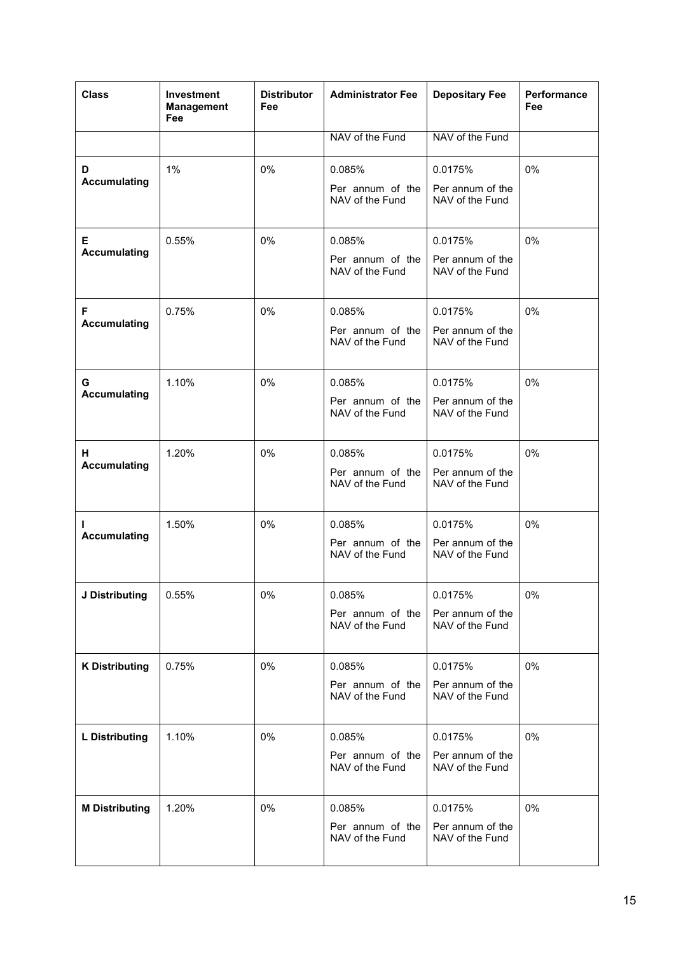| <b>Class</b>              | <b>Investment</b><br><b>Management</b><br>Fee | <b>Distributor</b><br>Fee | <b>Administrator Fee</b>            | <b>Depositary Fee</b>               | Performance<br>Fee |
|---------------------------|-----------------------------------------------|---------------------------|-------------------------------------|-------------------------------------|--------------------|
|                           |                                               |                           | NAV of the Fund                     | NAV of the Fund                     |                    |
| D<br><b>Accumulating</b>  | 1%                                            | 0%                        | 0.085%                              | 0.0175%                             | 0%                 |
|                           |                                               |                           | Per annum of the<br>NAV of the Fund | Per annum of the<br>NAV of the Fund |                    |
| E.<br><b>Accumulating</b> | 0.55%                                         | 0%                        | 0.085%                              | 0.0175%                             | 0%                 |
|                           |                                               |                           | Per annum of the<br>NAV of the Fund | Per annum of the<br>NAV of the Fund |                    |
| F<br><b>Accumulating</b>  | 0.75%                                         | 0%                        | 0.085%                              | 0.0175%                             | 0%                 |
|                           |                                               |                           | Per annum of the<br>NAV of the Fund | Per annum of the<br>NAV of the Fund |                    |
| G<br><b>Accumulating</b>  | 1.10%                                         | 0%                        | 0.085%                              | 0.0175%                             | 0%                 |
|                           |                                               |                           | Per annum of the<br>NAV of the Fund | Per annum of the<br>NAV of the Fund |                    |
| Н.<br><b>Accumulating</b> | 1.20%                                         | 0%                        | 0.085%                              | 0.0175%                             | 0%                 |
|                           |                                               |                           | Per annum of the<br>NAV of the Fund | Per annum of the<br>NAV of the Fund |                    |
| L<br><b>Accumulating</b>  | 1.50%                                         | 0%                        | 0.085%                              | 0.0175%                             | 0%                 |
|                           |                                               |                           | Per annum of the<br>NAV of the Fund | Per annum of the<br>NAV of the Fund |                    |
| J Distributing            | 0.55%                                         | 0%                        | 0.085%                              | 0.0175%                             | 0%                 |
|                           |                                               |                           | Per annum of the<br>NAV of the Fund | Per annum of the<br>NAV of the Fund |                    |
| <b>K Distributing</b>     | 0.75%                                         | 0%                        | 0.085%                              | 0.0175%                             | 0%                 |
|                           |                                               |                           | Per annum of the<br>NAV of the Fund | Per annum of the<br>NAV of the Fund |                    |
| <b>L</b> Distributing     | 1.10%                                         | 0%                        | 0.085%                              | 0.0175%                             | 0%                 |
|                           |                                               |                           | Per annum of the<br>NAV of the Fund | Per annum of the<br>NAV of the Fund |                    |
| <b>M Distributing</b>     | 1.20%                                         | 0%                        | 0.085%                              | 0.0175%                             | 0%                 |
|                           |                                               |                           | Per annum of the<br>NAV of the Fund | Per annum of the<br>NAV of the Fund |                    |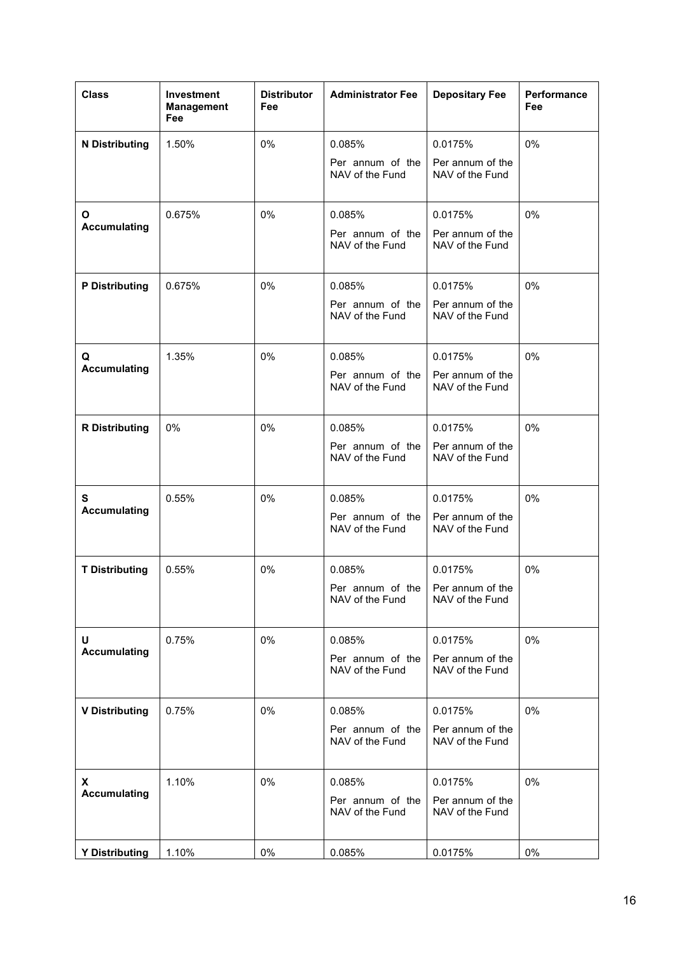| <b>Class</b>          | Investment<br><b>Management</b><br>Fee | <b>Distributor</b><br>Fee | <b>Administrator Fee</b>                               | <b>Depositary Fee</b>               | <b>Performance</b><br>Fee |
|-----------------------|----------------------------------------|---------------------------|--------------------------------------------------------|-------------------------------------|---------------------------|
| <b>N</b> Distributing | 1.50%                                  | 0%                        | 0.085%                                                 | 0.0175%                             | 0%                        |
|                       |                                        |                           | Per annum of the<br>NAV of the Fund                    | Per annum of the<br>NAV of the Fund |                           |
| O                     | 0.675%                                 | 0%                        | 0.085%                                                 | 0.0175%                             | 0%                        |
| <b>Accumulating</b>   |                                        |                           | Per annum of the<br>NAV of the Fund                    | Per annum of the<br>NAV of the Fund |                           |
| <b>P</b> Distributing | 0.675%                                 | 0%                        | 0.085%                                                 | 0.0175%                             | 0%                        |
|                       |                                        |                           | Per annum of the<br>NAV of the Fund                    | Per annum of the<br>NAV of the Fund |                           |
| Q                     | 1.35%                                  | 0%                        | 0.085%                                                 | 0.0175%                             | 0%                        |
| <b>Accumulating</b>   |                                        |                           | Per annum of the<br>NAV of the Fund                    | Per annum of the<br>NAV of the Fund |                           |
| <b>R</b> Distributing | 0%                                     | 0%                        | 0.085%                                                 | 0.0175%                             | 0%                        |
|                       |                                        |                           | Per annum of the<br>NAV of the Fund                    | Per annum of the<br>NAV of the Fund |                           |
| S                     | 0.55%                                  | 0%                        | 0.085%                                                 | 0.0175%                             | 0%                        |
| <b>Accumulating</b>   |                                        |                           | Per annum of the<br>NAV of the Fund                    | Per annum of the<br>NAV of the Fund |                           |
| <b>T Distributing</b> | 0.55%                                  | 0%                        | 0.085%                                                 | 0.0175%                             | 0%                        |
|                       |                                        |                           | Per annum of the   Per annum of the<br>NAV of the Fund | NAV of the Fund                     |                           |
| U                     | 0.75%                                  | 0%                        | 0.085%                                                 | 0.0175%                             | 0%                        |
| <b>Accumulating</b>   |                                        |                           | Per annum of the<br>NAV of the Fund                    | Per annum of the<br>NAV of the Fund |                           |
| <b>V Distributing</b> | 0.75%                                  | 0%                        | 0.085%                                                 | 0.0175%                             | 0%                        |
|                       |                                        |                           | Per annum of the<br>NAV of the Fund                    | Per annum of the<br>NAV of the Fund |                           |
| X                     | 1.10%                                  | 0%                        | 0.085%                                                 | 0.0175%                             | 0%                        |
| <b>Accumulating</b>   |                                        |                           | Per annum of the<br>NAV of the Fund                    | Per annum of the<br>NAV of the Fund |                           |
| <b>Y Distributing</b> | 1.10%                                  | 0%                        | 0.085%                                                 | 0.0175%                             | 0%                        |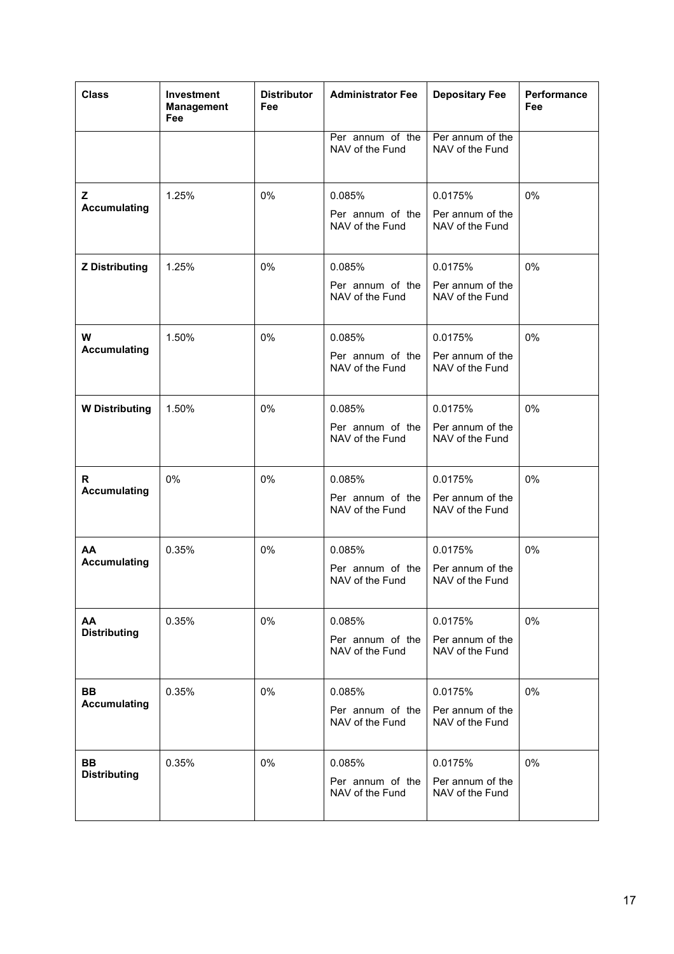| <b>Class</b>                     | Investment<br><b>Management</b><br>Fee | <b>Distributor</b><br>Fee | <b>Administrator Fee</b>                      | <b>Depositary Fee</b>                          | Performance<br>Fee |
|----------------------------------|----------------------------------------|---------------------------|-----------------------------------------------|------------------------------------------------|--------------------|
|                                  |                                        |                           | Per annum of the<br>NAV of the Fund           | Per annum of the<br>NAV of the Fund            |                    |
| Z<br><b>Accumulating</b>         | 1.25%                                  | 0%                        | 0.085%<br>Per annum of the<br>NAV of the Fund | 0.0175%<br>Per annum of the<br>NAV of the Fund | 0%                 |
| <b>Z</b> Distributing            | 1.25%                                  | 0%                        | 0.085%<br>Per annum of the<br>NAV of the Fund | 0.0175%<br>Per annum of the<br>NAV of the Fund | 0%                 |
| W<br><b>Accumulating</b>         | 1.50%                                  | 0%                        | 0.085%<br>Per annum of the<br>NAV of the Fund | 0.0175%<br>Per annum of the<br>NAV of the Fund | 0%                 |
| <b>W</b> Distributing            | 1.50%                                  | 0%                        | 0.085%<br>Per annum of the<br>NAV of the Fund | 0.0175%<br>Per annum of the<br>NAV of the Fund | 0%                 |
| R.<br><b>Accumulating</b>        | 0%                                     | 0%                        | 0.085%<br>Per annum of the<br>NAV of the Fund | 0.0175%<br>Per annum of the<br>NAV of the Fund | 0%                 |
| AA<br><b>Accumulating</b>        | 0.35%                                  | 0%                        | 0.085%<br>Per annum of the<br>NAV of the Fund | 0.0175%<br>Per annum of the<br>NAV of the Fund | 0%                 |
| AA<br><b>Distributing</b>        | 0.35%                                  | 0%                        | 0.085%<br>Per annum of the<br>NAV of the Fund | 0.0175%<br>Per annum of the<br>NAV of the Fund | 0%                 |
| <b>BB</b><br><b>Accumulating</b> | 0.35%                                  | 0%                        | 0.085%<br>Per annum of the<br>NAV of the Fund | 0.0175%<br>Per annum of the<br>NAV of the Fund | 0%                 |
| <b>BB</b><br><b>Distributing</b> | 0.35%                                  | 0%                        | 0.085%<br>Per annum of the<br>NAV of the Fund | 0.0175%<br>Per annum of the<br>NAV of the Fund | 0%                 |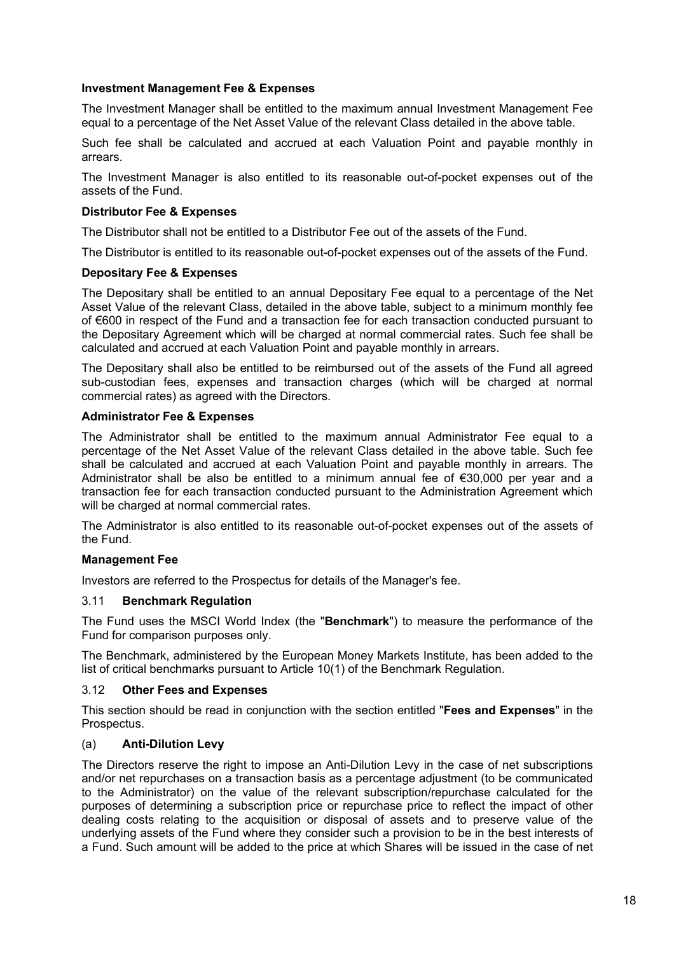## **Investment Management Fee & Expenses**

The Investment Manager shall be entitled to the maximum annual Investment Management Fee equal to a percentage of the Net Asset Value of the relevant Class detailed in the above table.

Such fee shall be calculated and accrued at each Valuation Point and payable monthly in arrears.

The Investment Manager is also entitled to its reasonable out-of-pocket expenses out of the assets of the Fund.

## **Distributor Fee & Expenses**

The Distributor shall not be entitled to a Distributor Fee out of the assets of the Fund.

The Distributor is entitled to its reasonable out-of-pocket expenses out of the assets of the Fund.

#### **Depositary Fee & Expenses**

The Depositary shall be entitled to an annual Depositary Fee equal to a percentage of the Net Asset Value of the relevant Class, detailed in the above table, subject to a minimum monthly fee of €600 in respect of the Fund and a transaction fee for each transaction conducted pursuant to the Depositary Agreement which will be charged at normal commercial rates. Such fee shall be calculated and accrued at each Valuation Point and payable monthly in arrears.

The Depositary shall also be entitled to be reimbursed out of the assets of the Fund all agreed sub-custodian fees, expenses and transaction charges (which will be charged at normal commercial rates) as agreed with the Directors.

## **Administrator Fee & Expenses**

The Administrator shall be entitled to the maximum annual Administrator Fee equal to a percentage of the Net Asset Value of the relevant Class detailed in the above table. Such fee shall be calculated and accrued at each Valuation Point and payable monthly in arrears. The Administrator shall be also be entitled to a minimum annual fee of €30,000 per year and a transaction fee for each transaction conducted pursuant to the Administration Agreement which will be charged at normal commercial rates.

The Administrator is also entitled to its reasonable out-of-pocket expenses out of the assets of the Fund.

#### **Management Fee**

Investors are referred to the Prospectus for details of the Manager's fee.

## 3.11 **Benchmark Regulation**

The Fund uses the MSCI World Index (the "**Benchmark**") to measure the performance of the Fund for comparison purposes only.

The Benchmark, administered by the European Money Markets Institute, has been added to the list of critical benchmarks pursuant to Article 10(1) of the Benchmark Regulation.

#### 3.12 **Other Fees and Expenses**

This section should be read in conjunction with the section entitled "**Fees and Expenses**" in the Prospectus.

#### (a) **Anti-Dilution Levy**

The Directors reserve the right to impose an Anti-Dilution Levy in the case of net subscriptions and/or net repurchases on a transaction basis as a percentage adjustment (to be communicated to the Administrator) on the value of the relevant subscription/repurchase calculated for the purposes of determining a subscription price or repurchase price to reflect the impact of other dealing costs relating to the acquisition or disposal of assets and to preserve value of the underlying assets of the Fund where they consider such a provision to be in the best interests of a Fund. Such amount will be added to the price at which Shares will be issued in the case of net